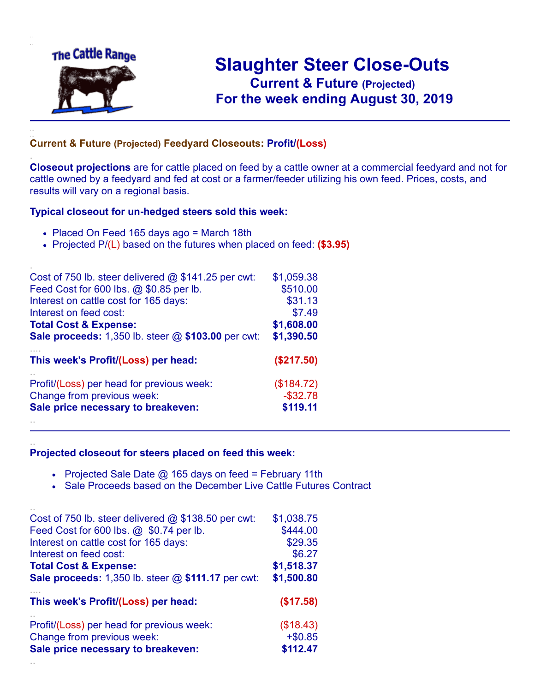

.

..

# **Slaughter Steer Close-Outs Current & Future (Projected)** .**For the week ending August 30, 2019**

#### **Current & Future (Projected) Feedyard Closeouts: Profit/(Loss)**

**Closeout projections** are for cattle placed on feed by a cattle owner at a commercial feedyard and not for cattle owned by a feedyard and fed at cost or a farmer/feeder utilizing his own feed. Prices, costs, and results will vary on a regional basis.

#### **Typical closeout for un-hedged steers sold this week:**

- Placed On Feed 165 days ago = March 18th
- Projected P/(L) based on the futures when placed on feed: **(\$3.95)**

| Cost of 750 lb. steer delivered $@$ \$141.25 per cwt: | \$1,059.38  |
|-------------------------------------------------------|-------------|
| Feed Cost for 600 lbs. @ \$0.85 per lb.               | \$510.00    |
| Interest on cattle cost for 165 days:                 | \$31.13     |
| Interest on feed cost:                                | \$7.49      |
| <b>Total Cost &amp; Expense:</b>                      | \$1,608.00  |
| Sale proceeds: 1,350 lb. steer @ \$103.00 per cwt:    | \$1,390.50  |
| This week's Profit/(Loss) per head:                   | (\$217.50)  |
| Profit/(Loss) per head for previous week:             | (\$184.72)  |
| Change from previous week:                            | $-$ \$32.78 |
| Sale price necessary to breakeven:                    | \$119.11    |
|                                                       |             |

#### **Projected closeout for steers placed on feed this week:**

- Projected Sale Date  $@$  165 days on feed = February 11th
- Sale Proceeds based on the December Live Cattle Futures Contract

| Cost of 750 lb. steer delivered $@$ \$138.50 per cwt:       | \$1,038.75 |
|-------------------------------------------------------------|------------|
| Feed Cost for 600 lbs. @ \$0.74 per lb.                     | \$444.00   |
| Interest on cattle cost for 165 days:                       | \$29.35    |
| Interest on feed cost:                                      | \$6.27     |
| <b>Total Cost &amp; Expense:</b>                            | \$1,518.37 |
| <b>Sale proceeds:</b> 1,350 lb. steer $@$ \$111.17 per cwt: | \$1,500.80 |
| This week's Profit/(Loss) per head:                         | (\$17.58)  |
| Profit/(Loss) per head for previous week:                   | (\$18.43)  |
| Change from previous week:                                  | $+ $0.85$  |
| Sale price necessary to breakeven:                          | \$112.47   |
|                                                             |            |